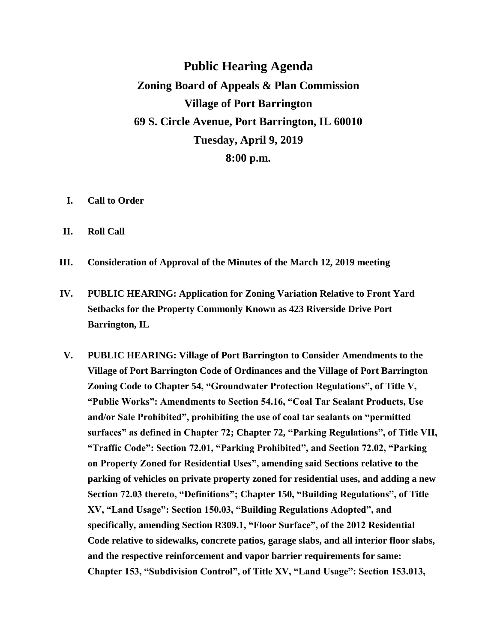**Public Hearing Agenda Zoning Board of Appeals & Plan Commission Village of Port Barrington 69 S. Circle Avenue, Port Barrington, IL 60010 Tuesday, April 9, 2019 8:00 p.m.**

- **I. Call to Order**
- **II. Roll Call**
- **III. Consideration of Approval of the Minutes of the March 12, 2019 meeting**
- **IV. PUBLIC HEARING: Application for Zoning Variation Relative to Front Yard Setbacks for the Property Commonly Known as 423 Riverside Drive Port Barrington, IL**
- **V. PUBLIC HEARING: Village of Port Barrington to Consider Amendments to the Village of Port Barrington Code of Ordinances and the Village of Port Barrington Zoning Code to Chapter 54, "Groundwater Protection Regulations", of Title V, "Public Works": Amendments to Section 54.16, "Coal Tar Sealant Products, Use and/or Sale Prohibited", prohibiting the use of coal tar sealants on "permitted surfaces" as defined in Chapter 72; Chapter 72, "Parking Regulations", of Title VII, "Traffic Code": Section 72.01, "Parking Prohibited", and Section 72.02, "Parking on Property Zoned for Residential Uses", amending said Sections relative to the parking of vehicles on private property zoned for residential uses, and adding a new Section 72.03 thereto, "Definitions"; Chapter 150, "Building Regulations", of Title XV, "Land Usage": Section 150.03, "Building Regulations Adopted", and specifically, amending Section R309.1, "Floor Surface", of the 2012 Residential Code relative to sidewalks, concrete patios, garage slabs, and all interior floor slabs, and the respective reinforcement and vapor barrier requirements for same: Chapter 153, "Subdivision Control", of Title XV, "Land Usage": Section 153.013,**